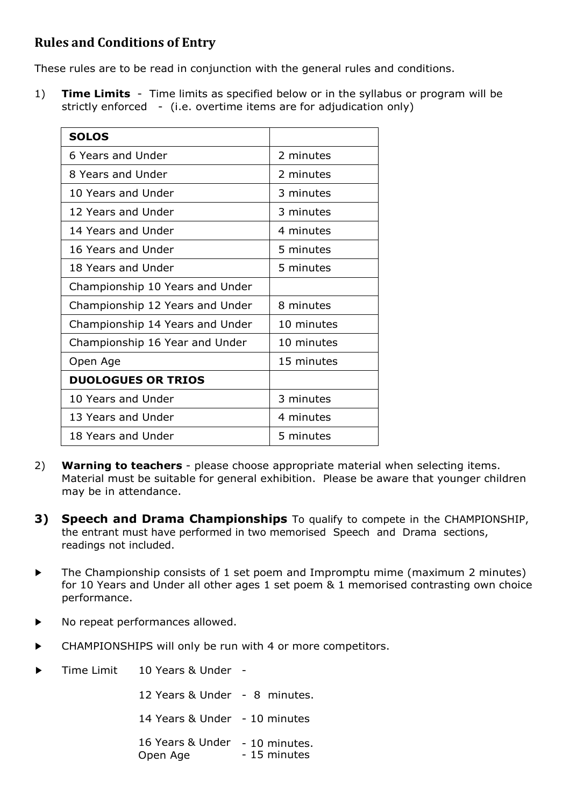## **Rules and Conditions of Entry**

These rules are to be read in conjunction with the general rules and conditions.

1) **Time Limits** - Time limits as specified below or in the syllabus or program will be strictly enforced - (i.e. overtime items are for adjudication only)

| <b>SOLOS</b>                    |            |  |
|---------------------------------|------------|--|
| 6 Years and Under               | 2 minutes  |  |
| 8 Years and Under               | 2 minutes  |  |
| 10 Years and Under              | 3 minutes  |  |
| 12 Years and Under              | 3 minutes  |  |
| 14 Years and Under              | 4 minutes  |  |
| 16 Years and Under              | 5 minutes  |  |
| 18 Years and Under<br>5 minutes |            |  |
| Championship 10 Years and Under |            |  |
| Championship 12 Years and Under | 8 minutes  |  |
| Championship 14 Years and Under | 10 minutes |  |
| Championship 16 Year and Under  | 10 minutes |  |
| Open Age                        | 15 minutes |  |
| <b>DUOLOGUES OR TRIOS</b>       |            |  |
| 10 Years and Under              | 3 minutes  |  |
| 13 Years and Under              | 4 minutes  |  |
| 18 Years and Under              | 5 minutes  |  |

- 2) **Warning to teachers**  please choose appropriate material when selecting items. Material must be suitable for general exhibition. Please be aware that younger children may be in attendance.
- **3) Speech and Drama Championships** To qualify to compete in the CHAMPIONSHIP, the entrant must have performed in two memorised Speech and Drama sections, readings not included.
- ► The Championship consists of 1 set poem and Impromptu mime (maximum 2 minutes) for 10 Years and Under all other ages 1 set poem & 1 memorised contrasting own choice performance.
- ► No repeat performances allowed.
- ► CHAMPIONSHIPS will only be run with 4 or more competitors.
- Time Limit 10 Years & Under -

12 Years & Under - 8 minutes.

14 Years & Under - 10 minutes

16 Years & Under - 10 minutes. Open Age - 15 minutes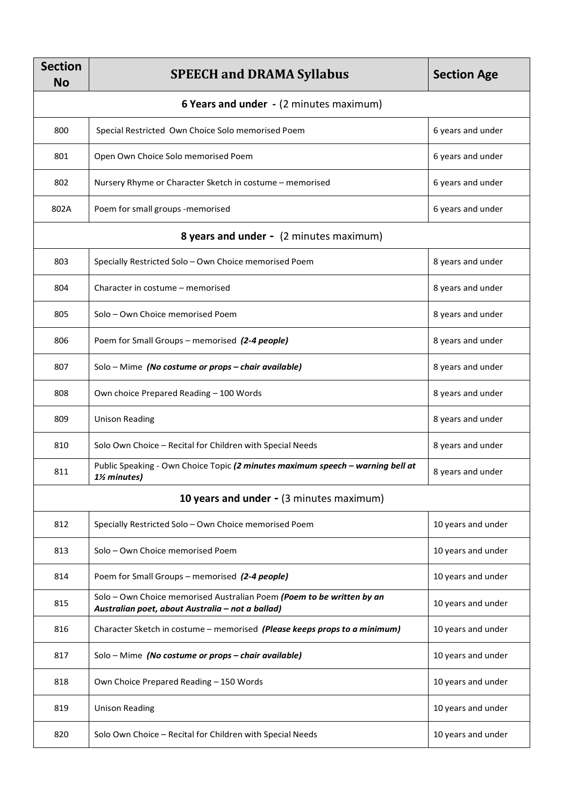| <b>Section</b><br><b>No</b>                    | <b>SPEECH and DRAMA Syllabus</b>                                                                                          | <b>Section Age</b> |  |  |
|------------------------------------------------|---------------------------------------------------------------------------------------------------------------------------|--------------------|--|--|
| <b>6 Years and under</b> - (2 minutes maximum) |                                                                                                                           |                    |  |  |
| 800                                            | Special Restricted Own Choice Solo memorised Poem                                                                         | 6 years and under  |  |  |
| 801                                            | Open Own Choice Solo memorised Poem                                                                                       | 6 years and under  |  |  |
| 802                                            | Nursery Rhyme or Character Sketch in costume - memorised                                                                  | 6 years and under  |  |  |
| 802A                                           | Poem for small groups -memorised                                                                                          | 6 years and under  |  |  |
|                                                | <b>8 years and under -</b> (2 minutes maximum)                                                                            |                    |  |  |
| 803                                            | Specially Restricted Solo - Own Choice memorised Poem                                                                     | 8 years and under  |  |  |
| 804                                            | Character in costume - memorised                                                                                          | 8 years and under  |  |  |
| 805                                            | Solo - Own Choice memorised Poem                                                                                          | 8 years and under  |  |  |
| 806                                            | Poem for Small Groups – memorised (2-4 people)                                                                            | 8 years and under  |  |  |
| 807                                            | Solo - Mime (No costume or props - chair available)                                                                       | 8 years and under  |  |  |
| 808                                            | Own choice Prepared Reading - 100 Words                                                                                   | 8 years and under  |  |  |
| 809                                            | <b>Unison Reading</b>                                                                                                     | 8 years and under  |  |  |
| 810                                            | Solo Own Choice - Recital for Children with Special Needs                                                                 | 8 years and under  |  |  |
| 811                                            | Public Speaking - Own Choice Topic (2 minutes maximum speech - warning bell at<br>1½ minutes)                             | 8 years and under  |  |  |
| 10 years and under - (3 minutes maximum)       |                                                                                                                           |                    |  |  |
| 812                                            | Specially Restricted Solo - Own Choice memorised Poem                                                                     | 10 years and under |  |  |
| 813                                            | Solo - Own Choice memorised Poem                                                                                          | 10 years and under |  |  |
| 814                                            | Poem for Small Groups - memorised (2-4 people)                                                                            | 10 years and under |  |  |
| 815                                            | Solo - Own Choice memorised Australian Poem (Poem to be written by an<br>Australian poet, about Australia - not a ballad) | 10 years and under |  |  |
| 816                                            | Character Sketch in costume - memorised (Please keeps props to a minimum)                                                 | 10 years and under |  |  |
| 817                                            | Solo - Mime (No costume or props - chair available)                                                                       | 10 years and under |  |  |
| 818                                            | Own Choice Prepared Reading - 150 Words                                                                                   | 10 years and under |  |  |
| 819                                            | <b>Unison Reading</b>                                                                                                     | 10 years and under |  |  |
| 820                                            | Solo Own Choice - Recital for Children with Special Needs                                                                 | 10 years and under |  |  |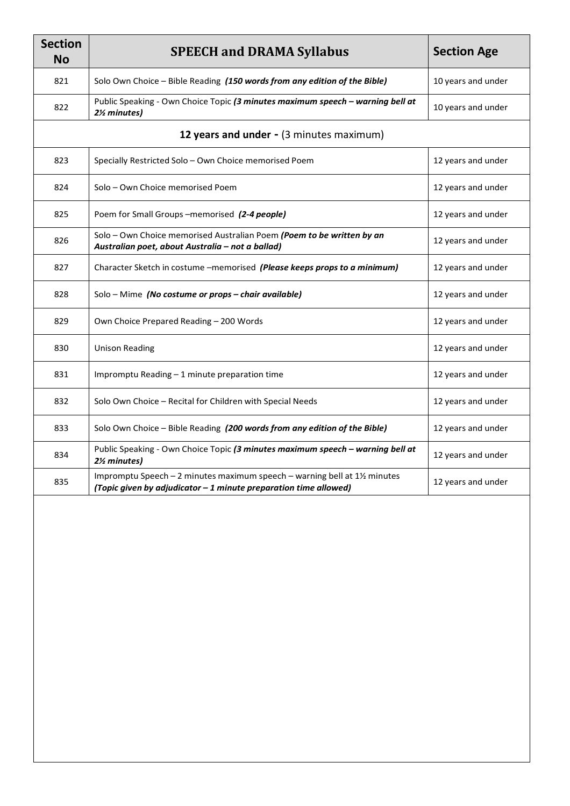| <b>Section</b><br><b>No</b> | <b>SPEECH and DRAMA Syllabus</b>                                                                                                             | <b>Section Age</b> |
|-----------------------------|----------------------------------------------------------------------------------------------------------------------------------------------|--------------------|
| 821                         | Solo Own Choice - Bible Reading (150 words from any edition of the Bible)                                                                    | 10 years and under |
| 822                         | Public Speaking - Own Choice Topic (3 minutes maximum speech - warning bell at<br>2½ minutes)                                                | 10 years and under |
|                             | 12 years and under - (3 minutes maximum)                                                                                                     |                    |
| 823                         | Specially Restricted Solo - Own Choice memorised Poem                                                                                        | 12 years and under |
| 824                         | Solo - Own Choice memorised Poem                                                                                                             | 12 years and under |
| 825                         | Poem for Small Groups-memorised (2-4 people)                                                                                                 | 12 years and under |
| 826                         | Solo - Own Choice memorised Australian Poem (Poem to be written by an<br>Australian poet, about Australia - not a ballad)                    | 12 years and under |
| 827                         | Character Sketch in costume -memorised (Please keeps props to a minimum)                                                                     | 12 years and under |
| 828                         | Solo - Mime (No costume or props - chair available)                                                                                          | 12 years and under |
| 829                         | Own Choice Prepared Reading - 200 Words                                                                                                      | 12 years and under |
| 830                         | <b>Unison Reading</b>                                                                                                                        | 12 years and under |
| 831                         | Impromptu Reading - 1 minute preparation time                                                                                                | 12 years and under |
| 832                         | Solo Own Choice - Recital for Children with Special Needs                                                                                    | 12 years and under |
| 833                         | Solo Own Choice - Bible Reading (200 words from any edition of the Bible)                                                                    | 12 years and under |
| 834                         | Public Speaking - Own Choice Topic (3 minutes maximum speech - warning bell at<br>2½ minutes)                                                | 12 years and under |
| 835                         | Impromptu Speech - 2 minutes maximum speech - warning bell at 1½ minutes<br>(Topic given by adjudicator - 1 minute preparation time allowed) | 12 years and under |
|                             |                                                                                                                                              |                    |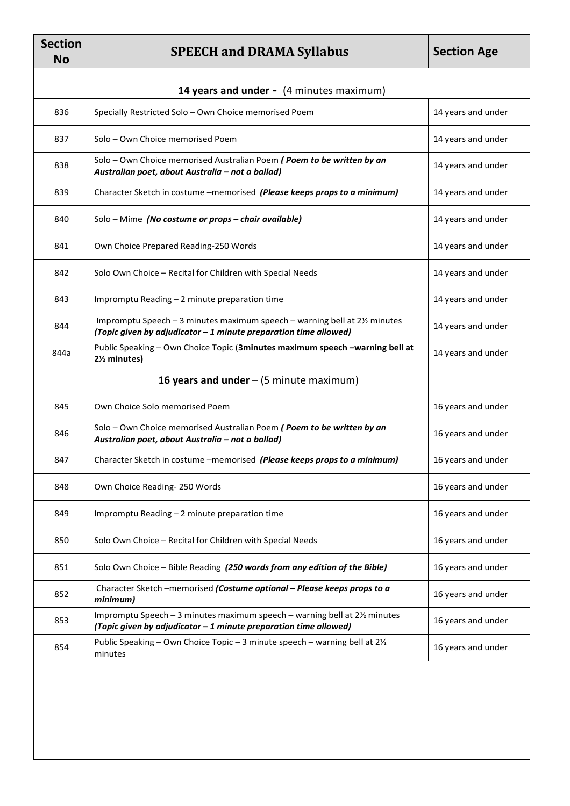| <b>Section</b><br><b>No</b>              | <b>SPEECH and DRAMA Syllabus</b>                                                                                                               | <b>Section Age</b> |
|------------------------------------------|------------------------------------------------------------------------------------------------------------------------------------------------|--------------------|
| 14 years and under - (4 minutes maximum) |                                                                                                                                                |                    |
| 836                                      | Specially Restricted Solo - Own Choice memorised Poem                                                                                          | 14 years and under |
| 837                                      | Solo - Own Choice memorised Poem                                                                                                               | 14 years and under |
| 838                                      | Solo - Own Choice memorised Australian Poem (Poem to be written by an<br>Australian poet, about Australia - not a ballad)                      | 14 years and under |
| 839                                      | Character Sketch in costume -memorised (Please keeps props to a minimum)                                                                       | 14 years and under |
| 840                                      | Solo - Mime (No costume or props - chair available)                                                                                            | 14 years and under |
| 841                                      | Own Choice Prepared Reading-250 Words                                                                                                          | 14 years and under |
| 842                                      | Solo Own Choice - Recital for Children with Special Needs                                                                                      | 14 years and under |
| 843                                      | Impromptu Reading - 2 minute preparation time                                                                                                  | 14 years and under |
| 844                                      | Impromptu Speech - 3 minutes maximum speech - warning bell at 21/2 minutes<br>(Topic given by adjudicator - 1 minute preparation time allowed) | 14 years and under |
| 844a                                     | Public Speaking - Own Choice Topic (3minutes maximum speech -warning bell at<br>2% minutes)                                                    | 14 years and under |
|                                          | 16 years and under $-$ (5 minute maximum)                                                                                                      |                    |
| 845                                      | Own Choice Solo memorised Poem                                                                                                                 | 16 years and under |
| 846                                      | Solo - Own Choice memorised Australian Poem (Poem to be written by an<br>Australian poet, about Australia - not a ballad)                      | 16 years and under |
| 847                                      | Character Sketch in costume -memorised (Please keeps props to a minimum)                                                                       | 16 years and under |
| 848                                      | Own Choice Reading-250 Words                                                                                                                   | 16 years and under |
| 849                                      | Impromptu Reading - 2 minute preparation time                                                                                                  | 16 years and under |
| 850                                      | Solo Own Choice - Recital for Children with Special Needs                                                                                      | 16 years and under |
| 851                                      | Solo Own Choice - Bible Reading (250 words from any edition of the Bible)                                                                      | 16 years and under |
| 852                                      | Character Sketch -memorised (Costume optional - Please keeps props to a<br>minimum)                                                            | 16 years and under |
| 853                                      | Impromptu Speech - 3 minutes maximum speech - warning bell at 21/2 minutes<br>(Topic given by adjudicator - 1 minute preparation time allowed) | 16 years and under |
| 854                                      | Public Speaking - Own Choice Topic - 3 minute speech - warning bell at 21/2<br>minutes                                                         | 16 years and under |
|                                          |                                                                                                                                                |                    |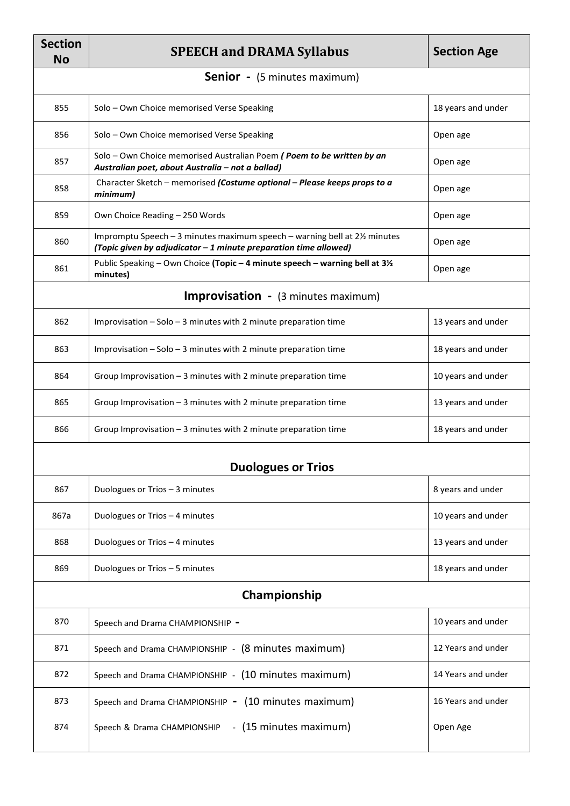| <b>Section</b><br><b>No</b>                | <b>SPEECH and DRAMA Syllabus</b>                                                                                                               | <b>Section Age</b> |  |
|--------------------------------------------|------------------------------------------------------------------------------------------------------------------------------------------------|--------------------|--|
|                                            | <b>Senior</b> - (5 minutes maximum)                                                                                                            |                    |  |
| 855                                        | Solo - Own Choice memorised Verse Speaking                                                                                                     | 18 years and under |  |
| 856                                        | Solo - Own Choice memorised Verse Speaking                                                                                                     | Open age           |  |
| 857                                        | Solo - Own Choice memorised Australian Poem (Poem to be written by an<br>Australian poet, about Australia - not a ballad)                      | Open age           |  |
| 858                                        | Character Sketch - memorised (Costume optional - Please keeps props to a<br>minimum)                                                           | Open age           |  |
| 859                                        | Own Choice Reading - 250 Words                                                                                                                 | Open age           |  |
| 860                                        | Impromptu Speech - 3 minutes maximum speech - warning bell at 21/2 minutes<br>(Topic given by adjudicator - 1 minute preparation time allowed) | Open age           |  |
| 861                                        | Public Speaking - Own Choice (Topic - 4 minute speech - warning bell at 31/2<br>minutes)                                                       | Open age           |  |
| <b>Improvisation</b> - (3 minutes maximum) |                                                                                                                                                |                    |  |
| 862                                        | Improvisation $-$ Solo $-$ 3 minutes with 2 minute preparation time                                                                            | 13 years and under |  |
| 863                                        | Improvisation $-$ Solo $-$ 3 minutes with 2 minute preparation time                                                                            | 18 years and under |  |
| 864                                        | Group Improvisation - 3 minutes with 2 minute preparation time                                                                                 | 10 years and under |  |
| 865                                        | Group Improvisation $-3$ minutes with 2 minute preparation time                                                                                | 13 years and under |  |
| 866                                        | Group Improvisation - 3 minutes with 2 minute preparation time                                                                                 | 18 years and under |  |
| <b>Duologues or Trios</b>                  |                                                                                                                                                |                    |  |
| 867                                        | Duologues or Trios - 3 minutes                                                                                                                 | 8 years and under  |  |
| 867a                                       | Duologues or Trios - 4 minutes                                                                                                                 | 10 years and under |  |
| 868                                        | Duologues or Trios - 4 minutes                                                                                                                 | 13 years and under |  |
| 869                                        | Duologues or Trios - 5 minutes                                                                                                                 | 18 years and under |  |
| Championship                               |                                                                                                                                                |                    |  |
| 870                                        | Speech and Drama CHAMPIONSHIP -                                                                                                                | 10 years and under |  |
| 871                                        | Speech and Drama CHAMPIONSHIP - (8 minutes maximum)                                                                                            | 12 Years and under |  |
| 872                                        | Speech and Drama CHAMPIONSHIP - (10 minutes maximum)                                                                                           | 14 Years and under |  |
| 873                                        | Speech and Drama CHAMPIONSHIP - (10 minutes maximum)                                                                                           | 16 Years and under |  |
| 874                                        | - (15 minutes maximum)<br>Speech & Drama CHAMPIONSHIP                                                                                          | Open Age           |  |